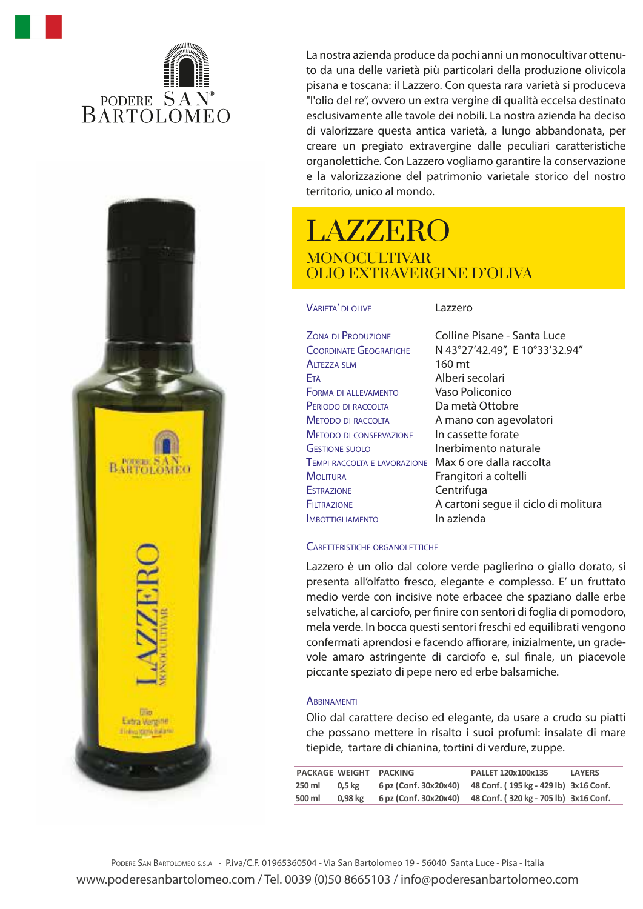



La nostra azienda produce da pochi anni un monocultivar ottenuto da una delle varietà più particolari della produzione olivicola pisana e toscana: il Lazzero. Con questa rara varietà si produceva "l'olio del re", ovvero un extra vergine di qualità eccelsa destinato esclusivamente alle tavole dei nobili. La nostra azienda ha deciso di valorizzare questa antica varietà, a lungo abbandonata, per creare un pregiato extravergine dalle peculiari caratteristiche organolettiche. Con Lazzero vogliamo garantire la conservazione e la valorizzazione del patrimonio varietale storico del nostro territorio, unico al mondo.

# LAZZERO MONOCULTIVAR OLIO EXTRAVERGINE D'OLIVA

VARIETA' DI OLIVE

Lazzero

| <b>ZONA DI PRODUZIONE</b>      |
|--------------------------------|
| <b>COORDINATE GEOGRAFICHE</b>  |
| <b>ALTEZZA SLM</b>             |
| Età                            |
| <b>FORMA DI ALLEVAMENTO</b>    |
| PERIODO DI RACCOLTA            |
| <b>METODO DI RACCOLTA</b>      |
| <b>METODO DI CONSERVAZIONE</b> |
| <b>GESTIONE SUOLO</b>          |
| TEMPI RACCOLTA E LAVORAZIONE   |
| <b>MOLITURA</b>                |
| <b>ESTRAZIONE</b>              |
| FILTRAZIONE                    |
| <b>MBOTTIGLIAMENTO</b>         |

Colline Pisane - Santa Luce N 43°27'42.49'', E 10°33'32.94'' 160 mt Alberi secolari Vaso Policonico Da metà Ottobre A mano con agevolatori In cassette forate Inerbimento naturale Max 6 ore dalla raccolta Frangitori a coltelli Centrifuga A cartoni segue il ciclo di molitura In azienda

### CARETTERISTICHE ORGANOLETTICHE

Lazzero è un olio dal colore verde paglierino o giallo dorato, si presenta all'olfatto fresco, elegante e complesso. E' un fruttato medio verde con incisive note erbacee che spaziano dalle erbe selvatiche, al carciofo, per finire con sentori di foglia di pomodoro, mela verde. In bocca questi sentori freschi ed equilibrati vengono confermati aprendosi e facendo affiorare, inizialmente, un gradevole amaro astringente di carciofo e, sul finale, un piacevole piccante speziato di pepe nero ed erbe balsamiche.

### **ABBINAMENTI**

Olio dal carattere deciso ed elegante, da usare a crudo su piatti che possano mettere in risalto i suoi profumi: insalate di mare tiepide, tartare di chianina, tortini di verdure, zuppe.

| <b>PACKAGE WEIGHT</b> |           | <b>PACKING</b>        | PALLET 120x100x135                                          | <b>LAYERS</b> |
|-----------------------|-----------|-----------------------|-------------------------------------------------------------|---------------|
| 250 ml                | 0.5 kg    | 6 pz (Conf. 30x20x40) | 48 Conf. (195 kg - 429 lb) 3x16 Conf.                       |               |
| 500 ml                | $0.98$ kg |                       | 6 pz (Conf. 30x20x40) 48 Conf. (320 kg - 705 lb) 3x16 Conf. |               |